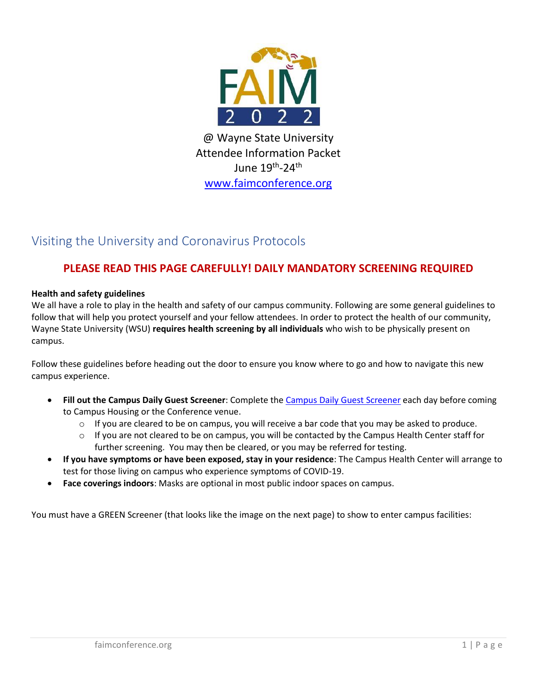

Attendee Information Packet June 19<sup>th</sup>-24<sup>th</sup> [www.faimconference.org](http://www.faimconference.org/)

## Visiting the University and Coronavirus Protocols

### **PLEASE READ THIS PAGE CAREFULLY! DAILY MANDATORY SCREENING REQUIRED**

### **Health and safety guidelines**

We all have a role to play in the health and safety of our campus community. Following are some general guidelines to follow that will help you protect yourself and your fellow attendees. In order to protect the health of our community, Wayne State University (WSU) **requires health screening by all individuals** who wish to be physically present on campus.

Follow these guidelines before heading out the door to ensure you know where to go and how to navigate this new campus experience.

- **Fill out the Campus Daily Guest Screener**: Complete the [Campus Daily](https://forms.wayne.edu/guest-screening) Guest Screener each day before coming to Campus Housing or the Conference venue.
	- $\circ$  If you are cleared to be on campus, you will receive a bar code that you may be asked to produce.
	- $\circ$  If you are not cleared to be on campus, you will be contacted by the Campus Health Center staff for further screening. You may then be cleared, or you may be referred for testing.
- **If you have symptoms or have been exposed, stay in your residence**: The Campus Health Center will arrange to test for those living on campus who experience symptoms of COVID-19.
- **Face coverings indoors**: Masks are optional in most public indoor spaces on campus.

You must have a GREEN Screener (that looks like the image on the next page) to show to enter campus facilities: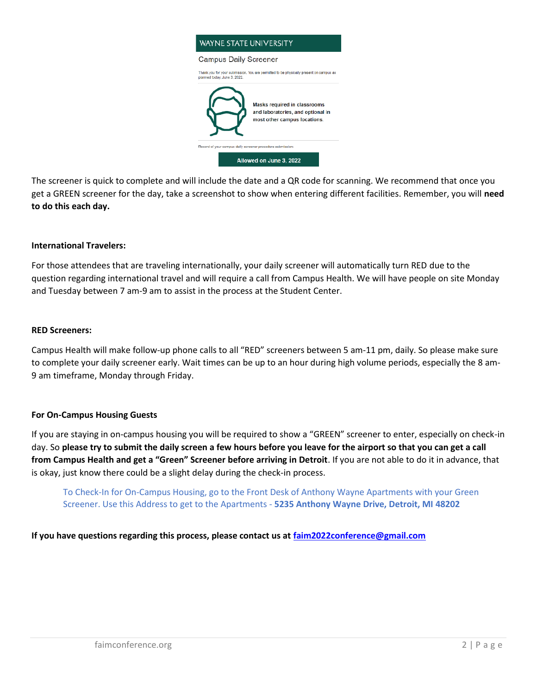

The screener is quick to complete and will include the date and a QR code for scanning. We recommend that once you get a GREEN screener for the day, take a screenshot to show when entering different facilities. Remember, you will **need to do this each day.**

#### **International Travelers:**

For those attendees that are traveling internationally, your daily screener will automatically turn RED due to the question regarding international travel and will require a call from Campus Health. We will have people on site Monday and Tuesday between 7 am-9 am to assist in the process at the Student Center.

#### **RED Screeners:**

Campus Health will make follow-up phone calls to all "RED" screeners between 5 am-11 pm, daily. So please make sure to complete your daily screener early. Wait times can be up to an hour during high volume periods, especially the 8 am-9 am timeframe, Monday through Friday.

#### **For On-Campus Housing Guests**

If you are staying in on-campus housing you will be required to show a "GREEN" screener to enter, especially on check-in day. So **please try to submit the daily screen a few hours before you leave for the airport so that you can get a call from Campus Health and get a "Green" Screener before arriving in Detroit**. If you are not able to do it in advance, that is okay, just know there could be a slight delay during the check-in process.

To Check-In for On-Campus Housing, go to the Front Desk of Anthony Wayne Apartments with your Green Screener. Use this Address to get to the Apartments - **5235 Anthony Wayne Drive, Detroit, MI 48202**

**If you have questions regarding this process, please contact us at [faim2022conference@gmail.com](mailto:faim2022conference@gmail.com)**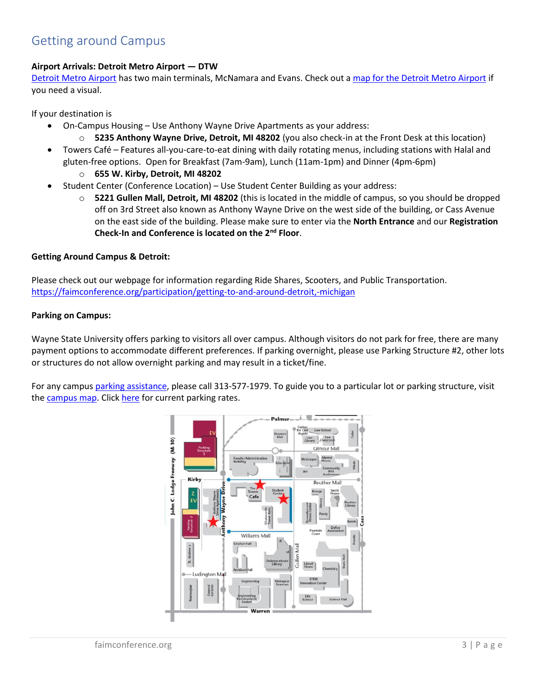### Getting around Campus

#### **Airport Arrivals: Detroit Metro Airport — DTW**

[Detroit Metro Airport](https://visitdetroit.com/profile/detroit-metro-airport/) has two main terminals, McNamara and Evans. Check out a [map for the Detroit Metro Airport](https://www.metroairport.com/terminals/maps) if you need a visual.

If your destination is

- On-Campus Housing Use Anthony Wayne Drive Apartments as your address:
	- o **5235 Anthony Wayne Drive, Detroit, MI 48202** (you also check-in at the Front Desk at this location)
- Towers Café Features all-you-care-to-eat dining with daily rotating menus, including stations with Halal and gluten-free options. Open for Breakfast (7am-9am), Lunch (11am-1pm) and Dinner (4pm-6pm)
	- o **655 W. Kirby, Detroit, MI 48202**
- Student Center (Conference Location) Use Student Center Building as your address:
	- o **5221 Gullen Mall, Detroit, MI 48202** (this is located in the middle of campus, so you should be dropped off on 3rd Street also known as Anthony Wayne Drive on the west side of the building, or Cass Avenue on the east side of the building. Please make sure to enter via the **North Entrance** and our **Registration Check-In and Conference is located on the 2nd Floor**.

#### **Getting Around Campus & Detroit:**

Please check out our webpage for information regarding Ride Shares, Scooters, and Public Transportation. <https://faimconference.org/participation/getting-to-and-around-detroit,-michigan>

#### **Parking on Campus:**

Wayne State University offers parking to visitors all over campus. Although visitors do not park for free, there are many payment options to accommodate different preferences. If parking overnight, please use Parking Structure #2, other lots or structures do not allow overnight parking and may result in a ticket/fine.

For any campus [parking assistance,](https://parking.wayne.edu/assistance/index.php) please call 313-577-1979. To guide you to a particular lot or parking structure, visit the [campus map.](http://maps.wayne.edu/#parking) Click [here](https://parking.wayne.edu/info/rates.php) for current parking rates.

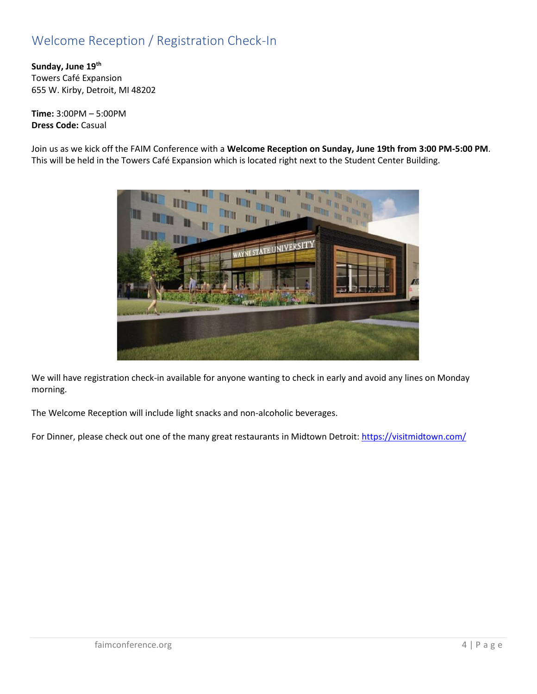# Welcome Reception / Registration Check-In

**Sunday, June 19th** Towers Café Expansion 655 W. Kirby, Detroit, MI 48202

**Time:** 3:00PM – 5:00PM **Dress Code:** Casual

Join us as we kick off the FAIM Conference with a **Welcome Reception on Sunday, June 19th from 3:00 PM-5:00 PM**. This will be held in the Towers Café Expansion which is located right next to the Student Center Building.



We will have registration check-in available for anyone wanting to check in early and avoid any lines on Monday morning.

The Welcome Reception will include light snacks and non-alcoholic beverages.

For Dinner, please check out one of the many great restaurants in Midtown Detroit:<https://visitmidtown.com/>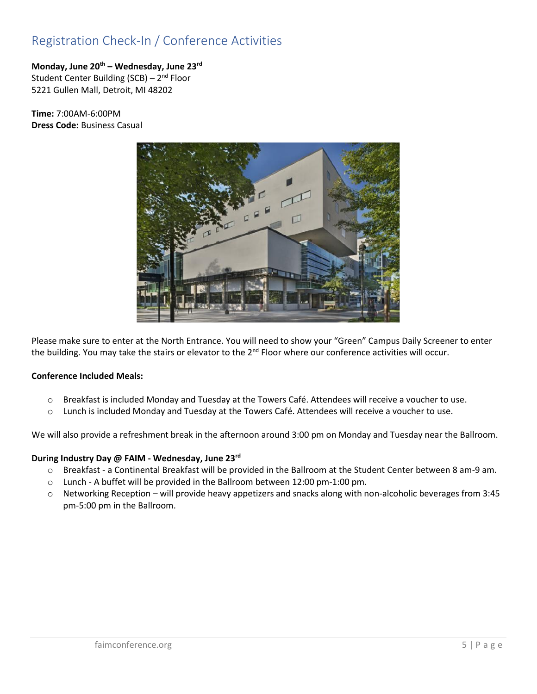## Registration Check-In / Conference Activities

#### **Monday, June 20th – Wednesday, June 23rd** Student Center Building (SCB) – 2<sup>nd</sup> Floor 5221 Gullen Mall, Detroit, MI 48202

**Time:** 7:00AM-6:00PM **Dress Code:** Business Casual



Please make sure to enter at the North Entrance. You will need to show your "Green" Campus Daily Screener to enter the building. You may take the stairs or elevator to the 2<sup>nd</sup> Floor where our conference activities will occur.

### **Conference Included Meals:**

- o Breakfast is included Monday and Tuesday at the Towers Café. Attendees will receive a voucher to use.
- o Lunch is included Monday and Tuesday at the Towers Café. Attendees will receive a voucher to use.

We will also provide a refreshment break in the afternoon around 3:00 pm on Monday and Tuesday near the Ballroom.

#### **During Industry Day @ FAIM - Wednesday, June 23rd**

- o Breakfast a Continental Breakfast will be provided in the Ballroom at the Student Center between 8 am-9 am.
- o Lunch A buffet will be provided in the Ballroom between 12:00 pm-1:00 pm.
- o Networking Reception will provide heavy appetizers and snacks along with non-alcoholic beverages from 3:45 pm-5:00 pm in the Ballroom.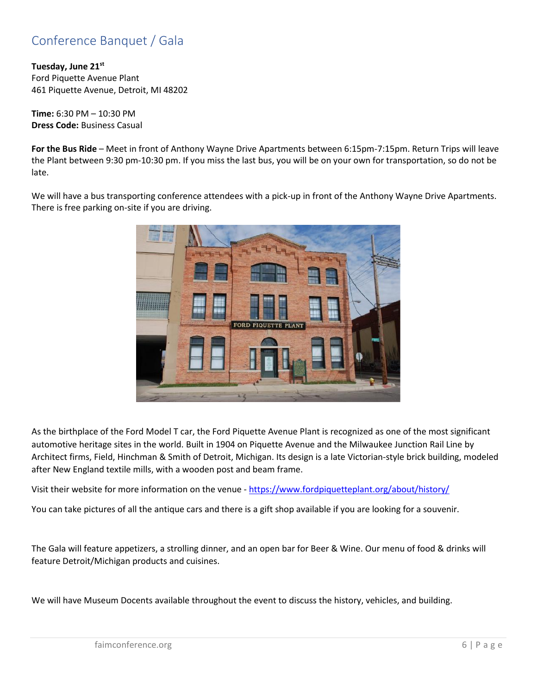# Conference Banquet / Gala

**Tuesday, June 21st** Ford Piquette Avenue Plant 461 Piquette Avenue, Detroit, MI 48202

**Time:** 6:30 PM – 10:30 PM **Dress Code:** Business Casual

**For the Bus Ride** – Meet in front of Anthony Wayne Drive Apartments between 6:15pm-7:15pm. Return Trips will leave the Plant between 9:30 pm-10:30 pm. If you miss the last bus, you will be on your own for transportation, so do not be late.

We will have a bus transporting conference attendees with a pick-up in front of the Anthony Wayne Drive Apartments. There is free parking on-site if you are driving.



As the birthplace of the Ford Model T car, the Ford Piquette Avenue Plant is recognized as one of the most significant automotive heritage sites in the world. Built in 1904 on Piquette Avenue and the Milwaukee Junction Rail Line by Architect firms, Field, Hinchman & Smith of Detroit, Michigan. Its design is a late Victorian-style brick building, modeled after New England textile mills, with a wooden post and beam frame.

Visit their website for more information on the venue - <https://www.fordpiquetteplant.org/about/history/>

You can take pictures of all the antique cars and there is a gift shop available if you are looking for a souvenir.

The Gala will feature appetizers, a strolling dinner, and an open bar for Beer & Wine. Our menu of food & drinks will feature Detroit/Michigan products and cuisines.

We will have Museum Docents available throughout the event to discuss the history, vehicles, and building.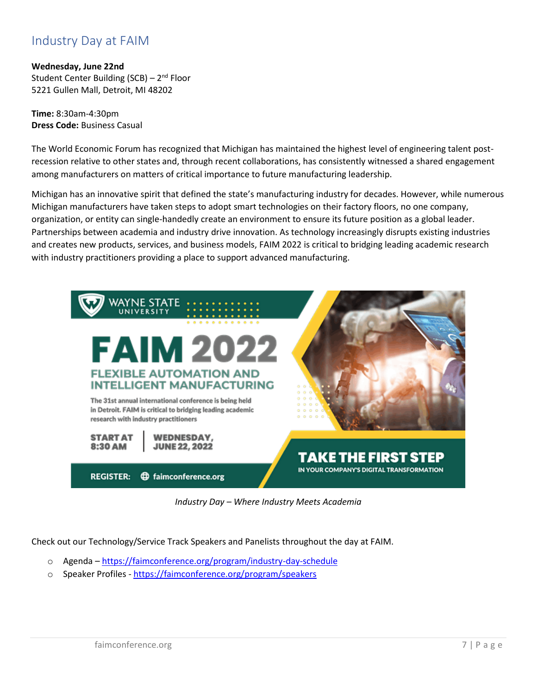### Industry Day at FAIM

**Wednesday, June 22nd** Student Center Building (SCB) – 2<sup>nd</sup> Floor 5221 Gullen Mall, Detroit, MI 48202

**Time:** 8:30am-4:30pm **Dress Code:** Business Casual

The World Economic Forum has recognized that Michigan has maintained the highest level of engineering talent postrecession relative to other states and, through recent collaborations, has consistently witnessed a shared engagement among manufacturers on matters of critical importance to future manufacturing leadership.

Michigan has an innovative spirit that defined the state's manufacturing industry for decades. However, while numerous Michigan manufacturers have taken steps to adopt smart technologies on their factory floors, no one company, organization, or entity can single-handedly create an environment to ensure its future position as a global leader. Partnerships between academia and industry drive innovation. As technology increasingly disrupts existing industries and creates new products, services, and business models, FAIM 2022 is critical to bridging leading academic research with industry practitioners providing a place to support advanced manufacturing.



*Industry Day – Where Industry Meets Academia*

Check out our Technology/Service Track Speakers and Panelists throughout the day at FAIM.

- o Agenda <https://faimconference.org/program/industry-day-schedule>
- o Speaker Profiles <https://faimconference.org/program/speakers>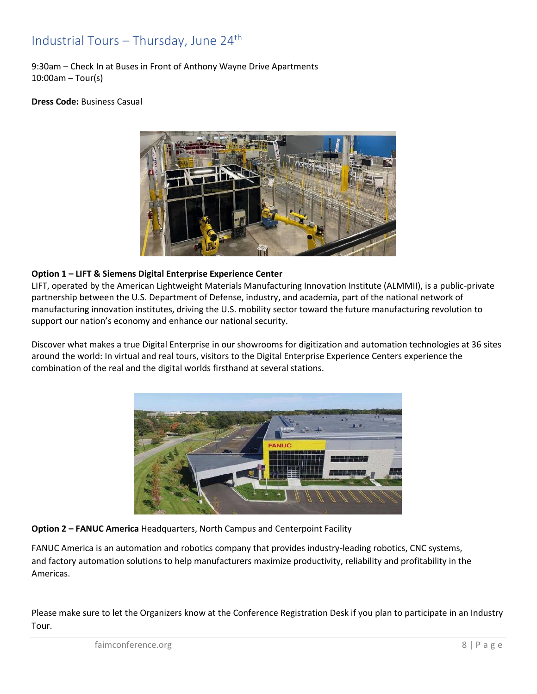### Industrial Tours – Thursday, June 24th

9:30am – Check In at Buses in Front of Anthony Wayne Drive Apartments 10:00am – Tour(s)

#### **Dress Code:** Business Casual



#### **Option 1 – LIFT & Siemens Digital Enterprise Experience Center**

LIFT, operated by the American Lightweight Materials Manufacturing Innovation Institute (ALMMII), is a public-private partnership between the U.S. Department of Defense, industry, and academia, part of the national network of manufacturing innovation institutes, driving the U.S. mobility sector toward the future manufacturing revolution to support our nation's economy and enhance our national security.

Discover what makes a true Digital Enterprise in our showrooms for digitization and automation technologies at 36 sites around the world: In virtual and real tours, visitors to the Digital Enterprise Experience Centers experience the combination of the real and the digital worlds firsthand at several stations.



#### **Option 2 – FANUC America** Headquarters, North Campus and Centerpoint Facility

FANUC America is an automation and robotics company that provides industry-leading robotics, CNC systems, and factory automation solutions to help manufacturers maximize productivity, reliability and profitability in the Americas.

Please make sure to let the Organizers know at the Conference Registration Desk if you plan to participate in an Industry Tour.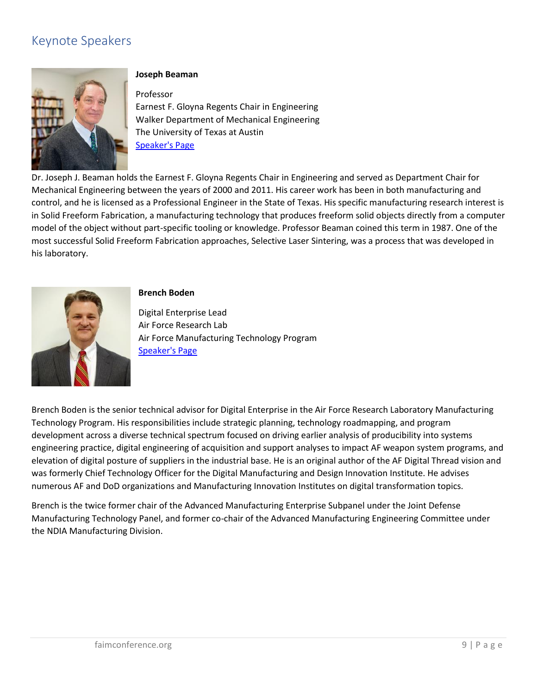# Keynote Speakers



#### **Joseph Beaman**

Professor Earnest F. Gloyna Regents Chair in Engineering Walker Department of Mechanical Engineering The University of Texas at Austin [Speaker's Page](https://www.me.utexas.edu/people/faculty-directory/beaman)

Dr. Joseph J. Beaman holds the Earnest F. Gloyna Regents Chair in Engineering and served as Department Chair for Mechanical Engineering between the years of 2000 and 2011. His career work has been in both manufacturing and control, and he is licensed as a Professional Engineer in the State of Texas. His specific manufacturing research interest is in Solid Freeform Fabrication, a manufacturing technology that produces freeform solid objects directly from a computer model of the object without part-specific tooling or knowledge. Professor Beaman coined this term in 1987. One of the most successful Solid Freeform Fabrication approaches, Selective Laser Sintering, was a process that was developed in his laboratory.



#### **Brench Boden**

Digital Enterprise Lead Air Force Research Lab Air Force Manufacturing Technology Program [Speaker's Page](https://www.linkedin.com/in/brench-boden-21268633/)

Brench Boden is the senior technical advisor for Digital Enterprise in the Air Force Research Laboratory Manufacturing Technology Program. His responsibilities include strategic planning, technology roadmapping, and program development across a diverse technical spectrum focused on driving earlier analysis of producibility into systems engineering practice, digital engineering of acquisition and support analyses to impact AF weapon system programs, and elevation of digital posture of suppliers in the industrial base. He is an original author of the AF Digital Thread vision and was formerly Chief Technology Officer for the Digital Manufacturing and Design Innovation Institute. He advises numerous AF and DoD organizations and Manufacturing Innovation Institutes on digital transformation topics.

Brench is the twice former chair of the Advanced Manufacturing Enterprise Subpanel under the Joint Defense Manufacturing Technology Panel, and former co-chair of the Advanced Manufacturing Engineering Committee under the NDIA Manufacturing Division.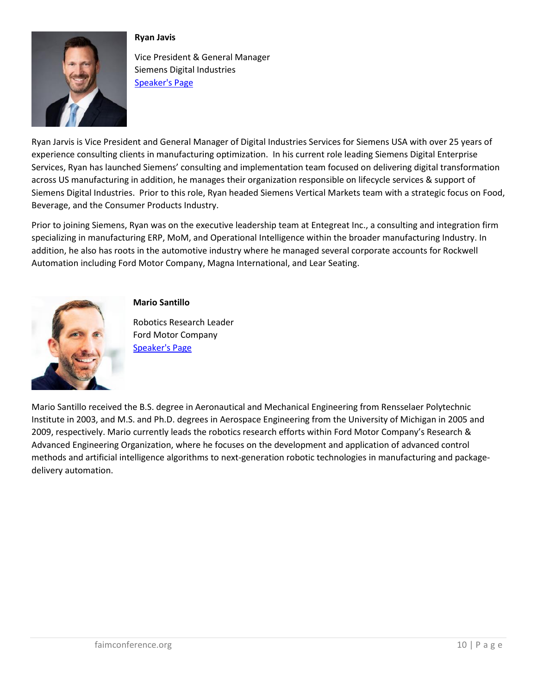

### **Ryan Javis**

Vice President & General Manager Siemens Digital Industries [Speaker's Page](https://www.linkedin.com/in/ryandjarvis/)

Ryan Jarvis is Vice President and General Manager of Digital Industries Services for Siemens USA with over 25 years of experience consulting clients in manufacturing optimization. In his current role leading Siemens Digital Enterprise Services, Ryan has launched Siemens' consulting and implementation team focused on delivering digital transformation across US manufacturing in addition, he manages their organization responsible on lifecycle services & support of Siemens Digital Industries. Prior to this role, Ryan headed Siemens Vertical Markets team with a strategic focus on Food, Beverage, and the Consumer Products Industry.

Prior to joining Siemens, Ryan was on the executive leadership team at Entegreat Inc., a consulting and integration firm specializing in manufacturing ERP, MoM, and Operational Intelligence within the broader manufacturing Industry. In addition, he also has roots in the automotive industry where he managed several corporate accounts for Rockwell Automation including Ford Motor Company, Magna International, and Lear Seating.



### **Mario Santillo**

Robotics Research Leader Ford Motor Company [Speaker's Page](https://www.linkedin.com/in/mario-santillo-05191b2b/)

Mario Santillo received the B.S. degree in Aeronautical and Mechanical Engineering from Rensselaer Polytechnic Institute in 2003, and M.S. and Ph.D. degrees in Aerospace Engineering from the University of Michigan in 2005 and 2009, respectively. Mario currently leads the robotics research efforts within Ford Motor Company's Research & Advanced Engineering Organization, where he focuses on the development and application of advanced control methods and artificial intelligence algorithms to next-generation robotic technologies in manufacturing and packagedelivery automation.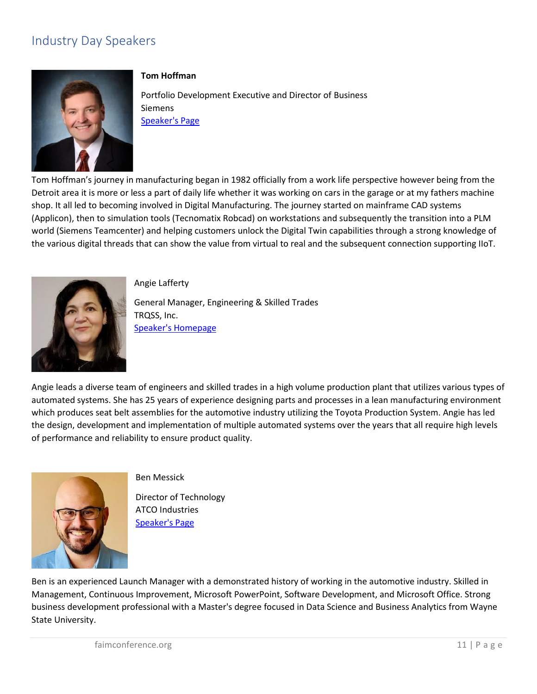# Industry Day Speakers



#### **Tom Hoffman**

Portfolio Development Executive and Director of Business **Siemens** [Speaker's Page](https://www.linkedin.com/in/tom-hoffman-6761974/)

Tom Hoffman's journey in manufacturing began in 1982 officially from a work life perspective however being from the Detroit area it is more or less a part of daily life whether it was working on cars in the garage or at my fathers machine shop. It all led to becoming involved in Digital Manufacturing. The journey started on mainframe CAD systems (Applicon), then to simulation tools (Tecnomatix Robcad) on workstations and subsequently the transition into a PLM world (Siemens Teamcenter) and helping customers unlock the Digital Twin capabilities through a strong knowledge of the various digital threads that can show the value from virtual to real and the subsequent connection supporting IIoT.



Angie Lafferty

General Manager, Engineering & Skilled Trades TRQSS, Inc. [Speaker's Homepage](https://www.linkedin.com/in/angie-lafferty-p-eng-1758b8200/)

Angie leads a diverse team of engineers and skilled trades in a high volume production plant that utilizes various types of automated systems. She has 25 years of experience designing parts and processes in a lean manufacturing environment which produces seat belt assemblies for the automotive industry utilizing the Toyota Production System. Angie has led the design, development and implementation of multiple automated systems over the years that all require high levels of performance and reliability to ensure product quality.



#### Ben Messick

Director of Technology ATCO Industries [Speaker's Page](https://www.linkedin.com/in/benjamin-messick-62bb6512/)

Ben is an experienced Launch Manager with a demonstrated history of working in the automotive industry. Skilled in Management, Continuous Improvement, Microsoft PowerPoint, Software Development, and Microsoft Office. Strong business development professional with a Master's degree focused in Data Science and Business Analytics from Wayne State University.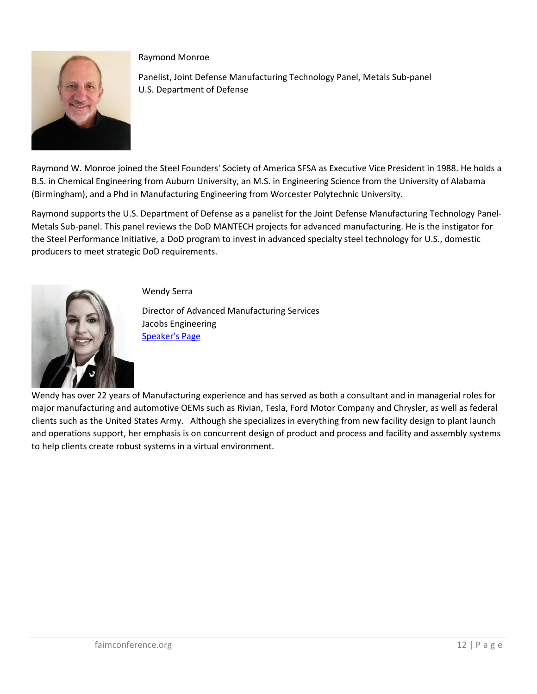

Raymond Monroe

Panelist, Joint Defense Manufacturing Technology Panel, Metals Sub-panel U.S. Department of Defense

Raymond W. Monroe joined the Steel Founders' Society of America SFSA as Executive Vice President in 1988. He holds a B.S. in Chemical Engineering from Auburn University, an M.S. in Engineering Science from the University of Alabama (Birmingham), and a Phd in Manufacturing Engineering from Worcester Polytechnic University.

Raymond supports the U.S. Department of Defense as a panelist for the Joint Defense Manufacturing Technology Panel-Metals Sub-panel. This panel reviews the DoD MANTECH projects for advanced manufacturing. He is the instigator for the Steel Performance Initiative, a DoD program to invest in advanced specialty steel technology for U.S., domestic producers to meet strategic DoD requirements.



Wendy Serra

Director of Advanced Manufacturing Services Jacobs Engineering [Speaker's Page](https://www.linkedin.com/in/wendy-serra-07844b9/)

Wendy has over 22 years of Manufacturing experience and has served as both a consultant and in managerial roles for major manufacturing and automotive OEMs such as Rivian, Tesla, Ford Motor Company and Chrysler, as well as federal clients such as the United States Army. Although she specializes in everything from new facility design to plant launch and operations support, her emphasis is on concurrent design of product and process and facility and assembly systems to help clients create robust systems in a virtual environment.